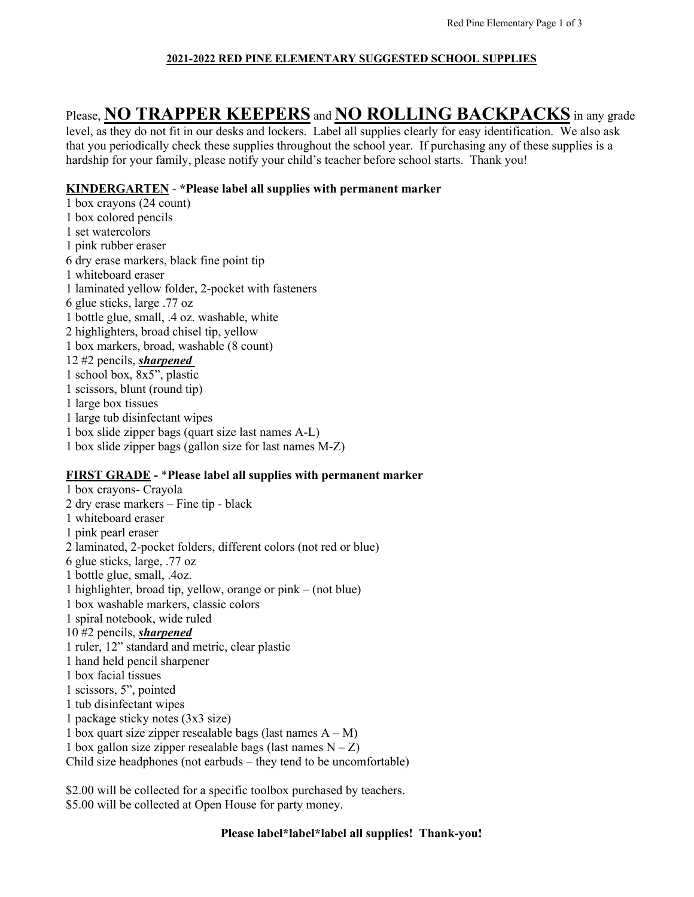### **2021-2022 RED PINE ELEMENTARY SUGGESTED SCHOOL SUPPLIES**

# Please, **NO TRAPPER KEEPERS** and **NO ROLLING BACKPACKS** in any grade

level, as they do not fit in our desks and lockers. Label all supplies clearly for easy identification. We also ask that you periodically check these supplies throughout the school year. If purchasing any of these supplies is a hardship for your family, please notify your child's teacher before school starts. Thank you!

## **KINDERGARTEN** - **\*Please label all supplies with permanent marker**

- 1 box crayons (24 count) 1 box colored pencils 1 set watercolors 1 pink rubber eraser 6 dry erase markers, black fine point tip 1 whiteboard eraser 1 laminated yellow folder, 2-pocket with fasteners 6 glue sticks, large .77 oz 1 bottle glue, small, .4 oz. washable, white 2 highlighters, broad chisel tip, yellow 1 box markers, broad, washable (8 count) 12 #2 pencils, *sharpened* 1 school box, 8x5", plastic 1 scissors, blunt (round tip) 1 large box tissues 1 large tub disinfectant wipes 1 box slide zipper bags (quart size last names A-L)
- 1 box slide zipper bags (gallon size for last names M-Z)

## **FIRST GRADE -** \***Please label all supplies with permanent marker**

1 box crayons- Crayola 2 dry erase markers – Fine tip - black 1 whiteboard eraser 1 pink pearl eraser 2 laminated, 2-pocket folders, different colors (not red or blue) 6 glue sticks, large, .77 oz 1 bottle glue, small, .4oz. 1 highlighter, broad tip, yellow, orange or pink – (not blue) 1 box washable markers, classic colors 1 spiral notebook, wide ruled 10 #2 pencils, *sharpened* 1 ruler, 12" standard and metric, clear plastic 1 hand held pencil sharpener 1 box facial tissues 1 scissors, 5", pointed 1 tub disinfectant wipes 1 package sticky notes (3x3 size) 1 box quart size zipper resealable bags (last names  $A - M$ ) 1 box gallon size zipper resealable bags (last names  $N - Z$ ) Child size headphones (not earbuds – they tend to be uncomfortable)

\$2.00 will be collected for a specific toolbox purchased by teachers. \$5.00 will be collected at Open House for party money.

### **Please label\*label\*label all supplies! Thank-you!**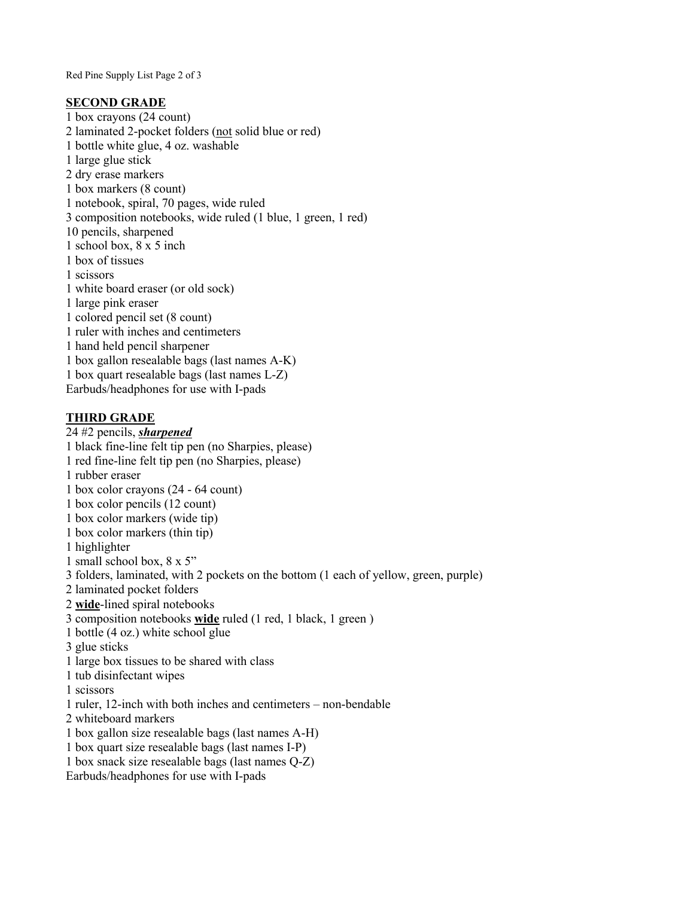Red Pine Supply List Page 2 of 3

### **SECOND GRADE**

1 box crayons (24 count) 2 laminated 2-pocket folders (not solid blue or red) 1 bottle white glue, 4 oz. washable 1 large glue stick 2 dry erase markers 1 box markers (8 count) 1 notebook, spiral, 70 pages, wide ruled 3 composition notebooks, wide ruled (1 blue, 1 green, 1 red) 10 pencils, sharpened 1 school box, 8 x 5 inch 1 box of tissues 1 scissors 1 white board eraser (or old sock) 1 large pink eraser 1 colored pencil set (8 count) 1 ruler with inches and centimeters 1 hand held pencil sharpener 1 box gallon resealable bags (last names A-K) 1 box quart resealable bags (last names L-Z) Earbuds/headphones for use with I-pads

## **THIRD GRADE**

24 #2 pencils, *sharpened* 1 black fine-line felt tip pen (no Sharpies, please) 1 red fine-line felt tip pen (no Sharpies, please) 1 rubber eraser 1 box color crayons (24 - 64 count) 1 box color pencils (12 count) 1 box color markers (wide tip) 1 box color markers (thin tip) 1 highlighter 1 small school box, 8 x 5" 3 folders, laminated, with 2 pockets on the bottom (1 each of yellow, green, purple) 2 laminated pocket folders 2 **wide**-lined spiral notebooks 3 composition notebooks **wide** ruled (1 red, 1 black, 1 green ) 1 bottle (4 oz.) white school glue 3 glue sticks 1 large box tissues to be shared with class 1 tub disinfectant wipes 1 scissors 1 ruler, 12-inch with both inches and centimeters – non-bendable 2 whiteboard markers 1 box gallon size resealable bags (last names A-H) 1 box quart size resealable bags (last names I-P) 1 box snack size resealable bags (last names Q-Z) Earbuds/headphones for use with I-pads